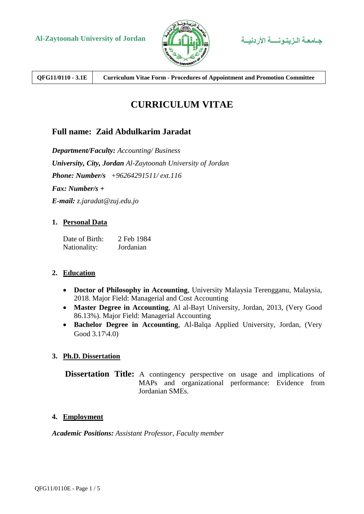

**QFG11/0110 - 3.1E Curriculum Vitae Form - Procedures of Appointment and Promotion Committee**

# **CURRICULUM VITAE**

## **Full name: Zaid Abdulkarim Jaradat**

*Department/Faculty: Accounting/ Business University, City, Jordan Al-Zaytoonah University of Jordan Phone: Number/s +96264291511/ ext.116 Fax: Number/s + E-mail: z.jaradat@zuj.edu.jo*

#### **1. Personal Data**

| Date of Birth: | 2 Feb 1984 |
|----------------|------------|
| Nationality:   | Jordanian  |

#### **2. Education**

- **Doctor of Philosophy in Accounting**, University Malaysia Terengganu, Malaysia, 2018. Major Field: Managerial and Cost Accounting
- **Master Degree in Accounting**, Al al-Bayt University, Jordan, 2013, (Very Good 86.13%). Major Field: Managerial Accounting
- **Bachelor Degree in Accounting**, Al-Balqa Applied University, Jordan, (Very Good 3.17\4.0)

### **3. Ph.D. Dissertation**

**Dissertation Title:** A contingency perspective on usage and implications of MAPs and organizational performance: Evidence from Jordanian SMEs.

#### **4. Employment**

*Academic Positions: Assistant Professor, Faculty member*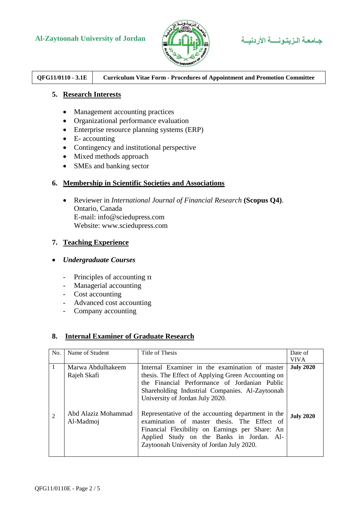## **Al-Zaytoonah University of Jordan األردنيــة الـزيتـونــــة جـامعـة**





## **QFG11/0110 - 3.1E Curriculum Vitae Form - Procedures of Appointment and Promotion Committee**

#### **5. Research Interests**

- Management accounting practices
- Organizational performance evaluation
- Enterprise resource planning systems (ERP)
- $\bullet$  E- accounting
- Contingency and institutional perspective
- Mixed methods approach
- SMEs and banking sector

#### **6. Membership in Scientific Societies and Associations**

 Reviewer in *International Journal of Financial Research* **(Scopus Q4)**. Ontario, Canada E-mail: info@sciedupress.com Website: www.sciedupress.com

#### **7. Teaching Experience**

#### *Undergraduate Courses*

- Principles of accounting π
- Managerial accounting
- Cost accounting
- Advanced cost accounting
- Company accounting

#### **8. Internal Examiner of Graduate Research**

| No. | Name of Student                  | Title of Thesis                                                                                                                                                                                                                                | Date of<br><b>VIVA</b> |
|-----|----------------------------------|------------------------------------------------------------------------------------------------------------------------------------------------------------------------------------------------------------------------------------------------|------------------------|
|     | Marwa Abdulhakeem<br>Rajeh Skafi | Internal Examiner in the examination of master<br>thesis. The Effect of Applying Green Accounting on<br>the Financial Performance of Jordanian Public<br>Shareholding Industrial Companies. Al-Zaytoonah<br>University of Jordan July 2020.    | <b>July 2020</b>       |
| 2   | Abd Alaziz Mohammad<br>Al-Madmoj | Representative of the accounting department in the<br>examination of master thesis. The Effect of<br>Financial Flexibility on Earnings per Share: An<br>Applied Study on the Banks in Jordan. Al-<br>Zaytoonah University of Jordan July 2020. | <b>July 2020</b>       |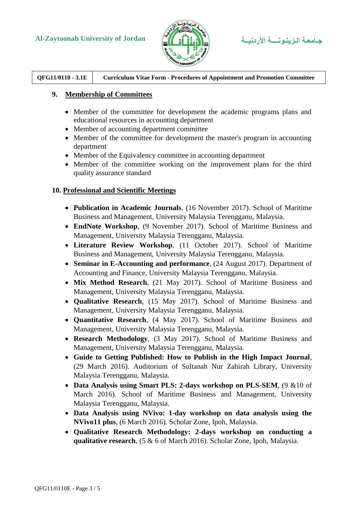## **Al-Zaytoonah University of Jordan األردنيــة الـزيتـونــــة جـامعـة**





**QFG11/0110 - 3.1E Curriculum Vitae Form - Procedures of Appointment and Promotion Committee**

#### **9. Membership of Committees**

- Member of the committee for development the academic programs plans and educational resources in accounting department
- Member of accounting department committee
- Member of the committee for development the master's program in accounting department
- Member of the Equivalency committee in accounting department
- Member of the committee working on the improvement plans for the third quality assurance standard

#### **10. Professional and Scientific Meetings**

- **Publication in Academic Journals**, (16 November 2017). School of Maritime Business and Management, University Malaysia Terengganu, Malaysia.
- **EndNote Workshop**, (9 November 2017). School of Maritime Business and Management, University Malaysia Terengganu, Malaysia.
- **Literature Review Workshop**, (11 October 2017). School of Maritime Business and Management, University Malaysia Terengganu, Malaysia.
- **Seminar in E-Accounting and performance**, (24 August 2017). Department of Accounting and Finance, University Malaysia Terengganu, Malaysia.
- **Mix Method Research**, (21 May 2017). School of Maritime Business and Management, University Malaysia Terengganu, Malaysia.
- **Qualitative Research**, (15 May 2017). School of Maritime Business and Management, University Malaysia Terengganu, Malaysia.
- **Quantitative Research**, (4 May 2017). School of Maritime Business and Management, University Malaysia Terengganu, Malaysia.
- **Research Methodology**, (3 May 2017). School of Maritime Business and Management, University Malaysia Terengganu, Malaysia.
- **Guide to Getting Published: How to Publish in the High Impact Journal**, (29 March 2016). Auditorium of Sultanah Nur Zahirah Library, University Malaysia Terengganu, Malaysia.
- **Data Analysis using Smart PLS: 2-days workshop on PLS-SEM**, (9 &10 of March 2016). School of Maritime Business and Management, University Malaysia Terengganu, Malaysia.
- **Data Analysis using NVivo: 1-day workshop on data analysis using the NVivo11 plus**, (6 March 2016). Scholar Zone, Ipoh, Malaysia.
- **Qualitative Research Methodology: 2-days workshop on conducting a qualitative research**, (5 & 6 of March 2016). Scholar Zone, Ipoh, Malaysia.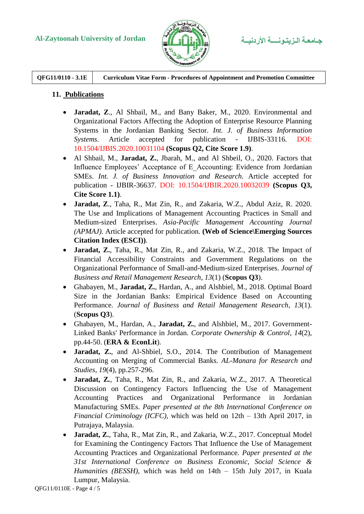

**QFG11/0110 - 3.1E Curriculum Vitae Form - Procedures of Appointment and Promotion Committee**

### **11. Publications**

- **Jaradat, Z**., Al Shbail, M., and Bany Baker, M., 2020. Environmental and Organizational Factors Affecting the Adoption of Enterprise Resource Planning Systems in the Jordanian Banking Sector. *Int. J. of Business Information Systems.* Article accepted for publication - IJBIS-33116. DOI: 10.1504/IJBIS.2020.10031104 **(Scopus Q2, Cite Score 1.9)**.
- Al Shbail, M., **Jaradat, Z.**, Jbarah, M., and Al Shbeil, O., 2020. Factors that Influence Employees' Acceptance of E\_Accounting: Evidence from Jordanian SMEs. *Int. J. of Business Innovation and Research.* Article accepted for publication - IJBIR-36637. DOI: 10.1504/IJBIR.2020.10032039 **(Scopus Q3, Cite Score 1.1)**.
- **Jaradat, Z**., Taha, R., Mat Zin, R., and Zakaria, W.Z., Abdul Aziz, R. 2020. The Use and Implications of Management Accounting Practices in Small and Medium-sized Enterprises. *Asia-Pacific Management Accounting Journal (APMAJ).* Article accepted for publication. **(Web of Science\Emerging Sources Citation Index (ESCI))**.
- **Jaradat, Z.**, Taha, R., Mat Zin, R., and Zakaria, W.Z., 2018. The Impact of Financial Accessibility Constraints and Government Regulations on the Organizational Performance of Small-and-Medium-sized Enterprises. *Journal of Business and Retail Management Research*, *13*(1) (**Scopus Q3**).
- Ghabayen, M., **Jaradat, Z.**, Hardan, A., and Alshbiel, M., 2018. Optimal Board Size in the Jordanian Banks: Empirical Evidence Based on Accounting Performance. *Journal of Business and Retail Management Research*, *13*(1). (**Scopus Q3**).
- Ghabayen, M., Hardan, A., **Jaradat, Z.**, and Alshbiel, M., 2017. Government-Linked Banks' Performance in Jordan. *Corporate Ownership & Control*, *14*(2), pp.44-50. (**ERA & EconLit**).
- **Jaradat, Z.**, and Al-Shbiel, S.O., 2014. The Contribution of Management Accounting on Merging of Commercial Banks. *AL-Manara for Research and Studies*, *19*(4), pp.257-296.
- **Jaradat, Z***.*, Taha, R., Mat Zin, R., and Zakaria, W.Z., 2017. A Theoretical Discussion on Contingency Factors Influencing the Use of Management Accounting Practices and Organizational Performance in Jordanian Manufacturing SMEs. *Paper presented at the 8th International Conference on Financial Criminology (ICFC)*, which was held on 12th – 13th April 2017, in Putrajaya, Malaysia.
- **Jaradat, Z.**, Taha, R., Mat Zin, R., and Zakaria, W.Z., 2017. Conceptual Model for Examining the Contingency Factors That Influence the Use of Management Accounting Practices and Organizational Performance. *Paper presented at the 31st International Conference on Business Economic, Social Science & Humanities (BESSH)*, which was held on 14th – 15th July 2017, in Kuala Lumpur, Malaysia.